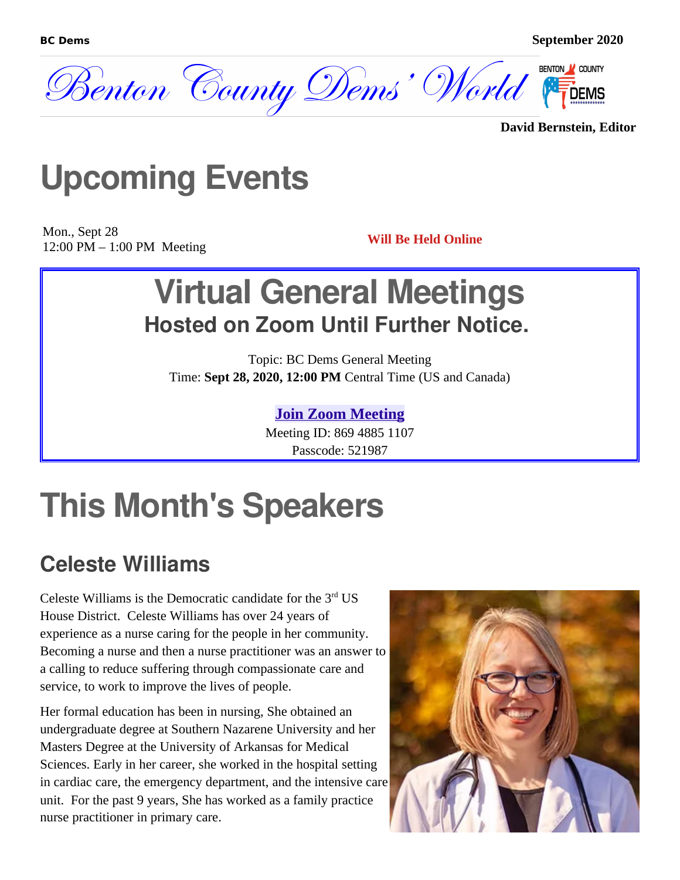

**David Bernstein, Editor**

## **Upcoming Events**

Mon., Sept 28 12:00 PM – 1:00 PM Meeting **Will Be Held Online**

## **Virtual General Meetings Hosted on Zoom Until Further Notice.**

Topic: BC Dems General Meeting Time: **Sept 28, 2020, 12:00 PM** Central Time (US and Canada)

#### **[Join Zoom Meeting](https://us02web.zoom.us/j/86948851107?pwd=Q3JmZUZ1UjYvM2krWFE4OUpFVlljQT09)**

Meeting ID: 869 4885 1107 Passcode: 521987

## **This Month's Speakers**

#### **Celeste Williams**

Celeste Williams is the Democratic candidate for the  $3<sup>rd</sup>$  US House District. Celeste Williams has over 24 years of experience as a nurse caring for the people in her community. Becoming a nurse and then a nurse practitioner was an answer to a calling to reduce suffering through compassionate care and service, to work to improve the lives of people.

Her formal education has been in nursing, She obtained an undergraduate degree at Southern Nazarene University and her Masters Degree at the University of Arkansas for Medical Sciences. Early in her career, she worked in the hospital setting in cardiac care, the emergency department, and the intensive care unit. For the past 9 years, She has worked as a family practice nurse practitioner in primary care.

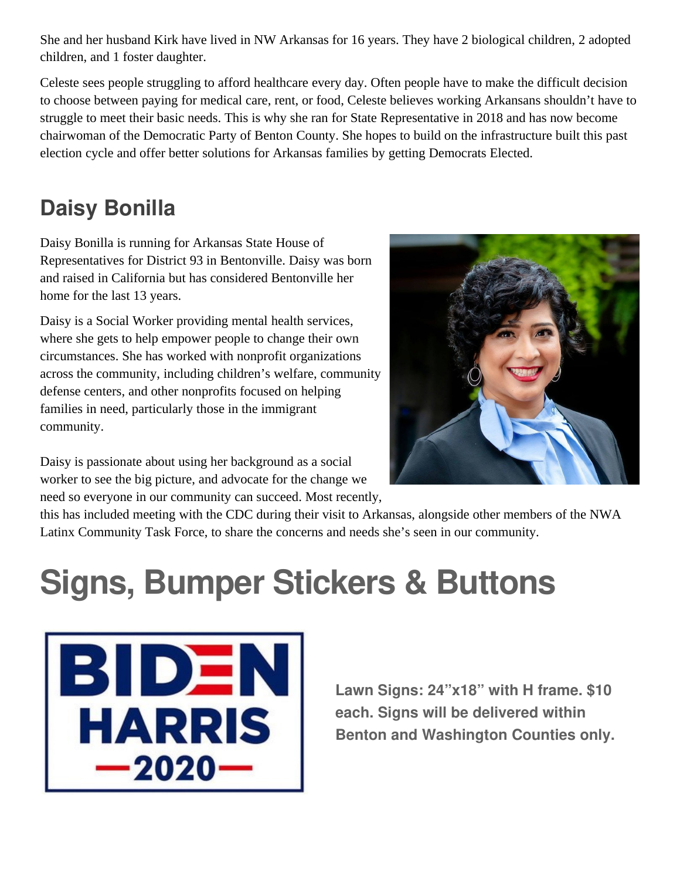She and her husband Kirk have lived in NW Arkansas for 16 years. They have 2 biological children, 2 adopted children, and 1 foster daughter.

Celeste sees people struggling to afford healthcare every day. Often people have to make the difficult decision to choose between paying for medical care, rent, or food, Celeste believes working Arkansans shouldn't have to struggle to meet their basic needs. This is why she ran for State Representative in 2018 and has now become chairwoman of the Democratic Party of Benton County. She hopes to build on the infrastructure built this past election cycle and offer better solutions for Arkansas families by getting Democrats Elected.

### **Daisy Bonilla**

Daisy Bonilla is running for Arkansas State House of Representatives for District 93 in Bentonville. Daisy was born and raised in California but has considered Bentonville her home for the last 13 years.

Daisy is a Social Worker providing mental health services, where she gets to help empower people to change their own circumstances. She has worked with nonprofit organizations across the community, including children's welfare, community defense centers, and other nonprofits focused on helping families in need, particularly those in the immigrant community.

Daisy is passionate about using her background as a social worker to see the big picture, and advocate for the change we need so everyone in our community can succeed. Most recently,



this has included meeting with the CDC during their visit to Arkansas, alongside other members of the NWA Latinx Community Task Force, to share the concerns and needs she's seen in our community.

# **Signs, Bumper Stickers & Buttons**



**Lawn Signs: 24"x18" with H frame. \$10 each. Signs will be delivered within Benton and Washington Counties only.**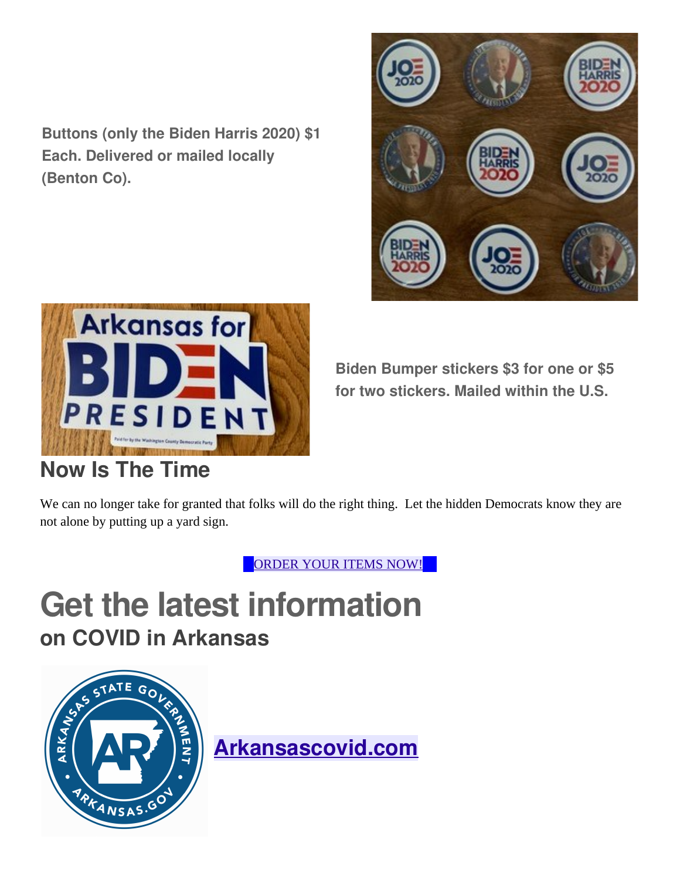**Buttons (only the Biden Harris 2020) \$1 Each. Delivered or mailed locally (Benton Co).**





**Now Is The Time**

**Biden Bumper stickers \$3 for one or \$5 for two stickers. Mailed within the U.S.**

We can no longer take for granted that folks will do the right thing. Let the hidden Democrats know they are not alone by putting up a yard sign.

ORDER YOUR ITEMS [NOW!](https://www.bcdems.org/store/p9/Biden_Harris_2020_Yard_Sign.html)

## **Get the latest information on COVID in Arkansas**



**[Arkansascovid.com](http://arkansascovid.com/)**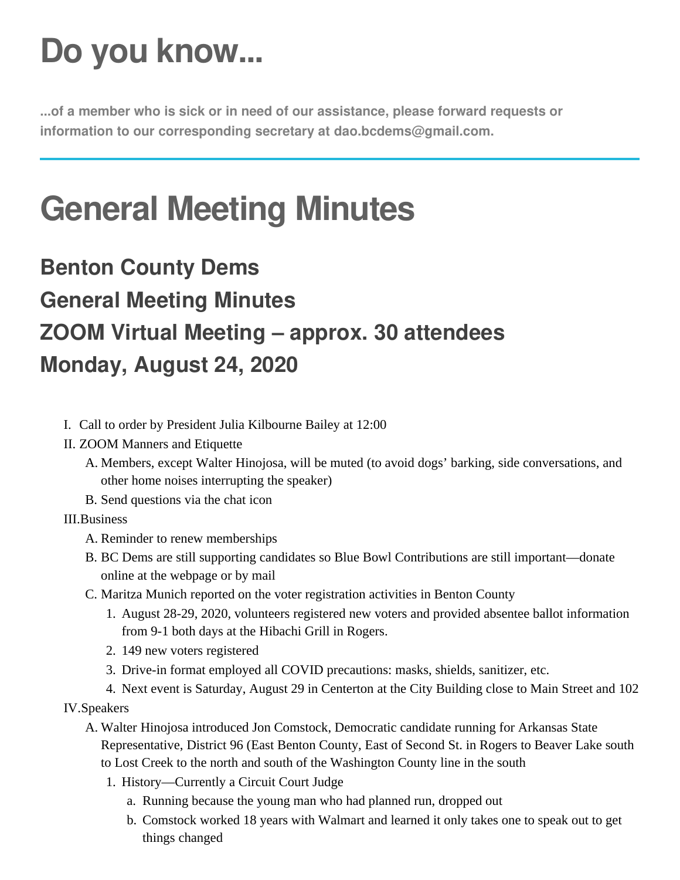# **Do you know...**

**...of a member who is sick or in need of our assistance, please forward requests or information to our corresponding secretary at dao.bcdems@gmail.com.**

# **General Meeting Minutes**

## **Benton County Dems General Meeting Minutes ZOOM Virtual Meeting – approx. 30 attendees Monday, August 24, 2020**

- I. Call to order by President Julia Kilbourne Bailey at 12:00
- II. ZOOM Manners and Etiquette
	- A. Members, except Walter Hinojosa, will be muted (to avoid dogs' barking, side conversations, and other home noises interrupting the speaker)
	- B. Send questions via the chat icon

#### III.Business

- A. Reminder to renew memberships
- B. BC Dems are still supporting candidates so Blue Bowl Contributions are still important—donate online at the webpage or by mail
- C. Maritza Munich reported on the voter registration activities in Benton County
	- 1. August 28-29, 2020, volunteers registered new voters and provided absentee ballot information from 9-1 both days at the Hibachi Grill in Rogers.
	- 2. 149 new voters registered
	- 3. Drive-in format employed all COVID precautions: masks, shields, sanitizer, etc.
	- 4. Next event is Saturday, August 29 in Centerton at the City Building close to Main Street and 102

IV.Speakers

- A. Walter Hinojosa introduced Jon Comstock, Democratic candidate running for Arkansas State Representative, District 96 (East Benton County, East of Second St. in Rogers to Beaver Lake south to Lost Creek to the north and south of the Washington County line in the south
	- 1. History—Currently a Circuit Court Judge
		- a. Running because the young man who had planned run, dropped out
		- b. Comstock worked 18 years with Walmart and learned it only takes one to speak out to get things changed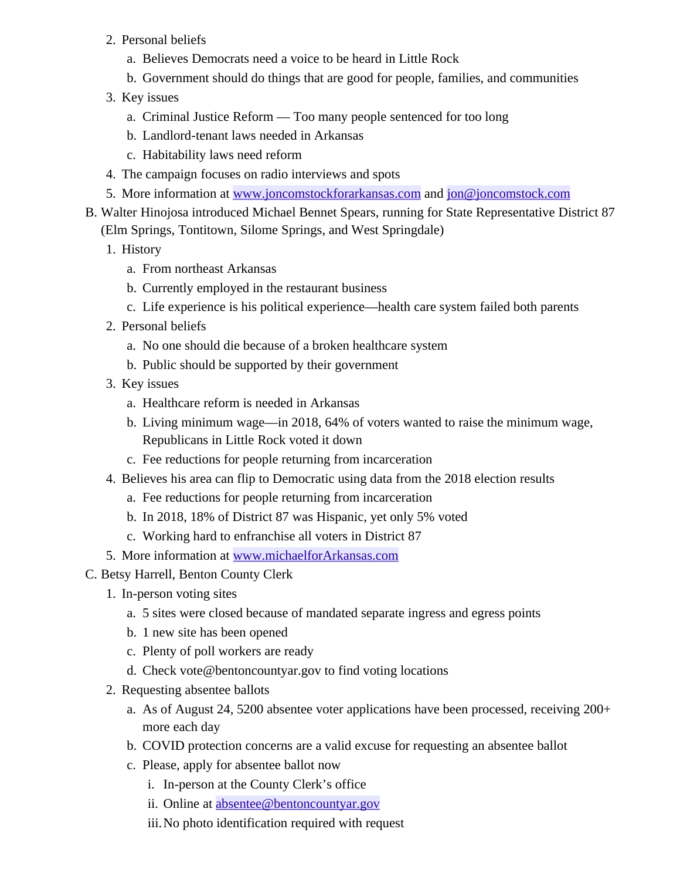- 2. Personal beliefs
	- a. Believes Democrats need a voice to be heard in Little Rock
	- b. Government should do things that are good for people, families, and communities
- 3. Key issues
	- a. Criminal Justice Reform Too many people sentenced for too long
	- b. Landlord-tenant laws needed in Arkansas
	- c. Habitability laws need reform
- 4. The campaign focuses on radio interviews and spots
- 5. More information at www.joncomstockforarkansas.com and  $\overline{[on\omega]}$  ioncomstock.com
- B. Walter Hinojosa introduced Michael Bennet Spears, running for State Representative District 87 (Elm Springs, Tontitown, Silome Springs, and West Springdale)
	- 1. History
		- a. From northeast Arkansas
		- b. Currently employed in the restaurant business
		- c. Life experience is his political experience—health care system failed both parents
	- 2. Personal beliefs
		- a. No one should die because of a broken healthcare system
		- b. Public should be supported by their government
	- 3. Key issues
		- a. Healthcare reform is needed in Arkansas
		- b. Living minimum wage—in 2018, 64% of voters wanted to raise the minimum wage, Republicans in Little Rock voted it down
		- c. Fee reductions for people returning from incarceration
	- 4. Believes his area can flip to Democratic using data from the 2018 election results
		- a. Fee reductions for people returning from incarceration
		- b. In 2018, 18% of District 87 was Hispanic, yet only 5% voted
		- c. Working hard to enfranchise all voters in District 87
	- 5. More information at [www.michaelforArkansas.com](http://www.michaelforarkansas.com/)
- C. Betsy Harrell, Benton County Clerk
	- 1. In-person voting sites
		- a. 5 sites were closed because of mandated separate ingress and egress points
		- b. 1 new site has been opened
		- c. Plenty of poll workers are ready
		- d. Check vote@bentoncountyar.gov to find voting locations
	- 2. Requesting absentee ballots
		- a. As of August 24, 5200 absentee voter applications have been processed, receiving 200+ more each day
		- b. COVID protection concerns are a valid excuse for requesting an absentee ballot
		- c. Please, apply for absentee ballot now
			- i. In-person at the County Clerk's office
			- ii. Online at [absentee@bentoncountyar.gov](mailto:absentee@bentoncountyar.gov)
			- iii.No photo identification required with request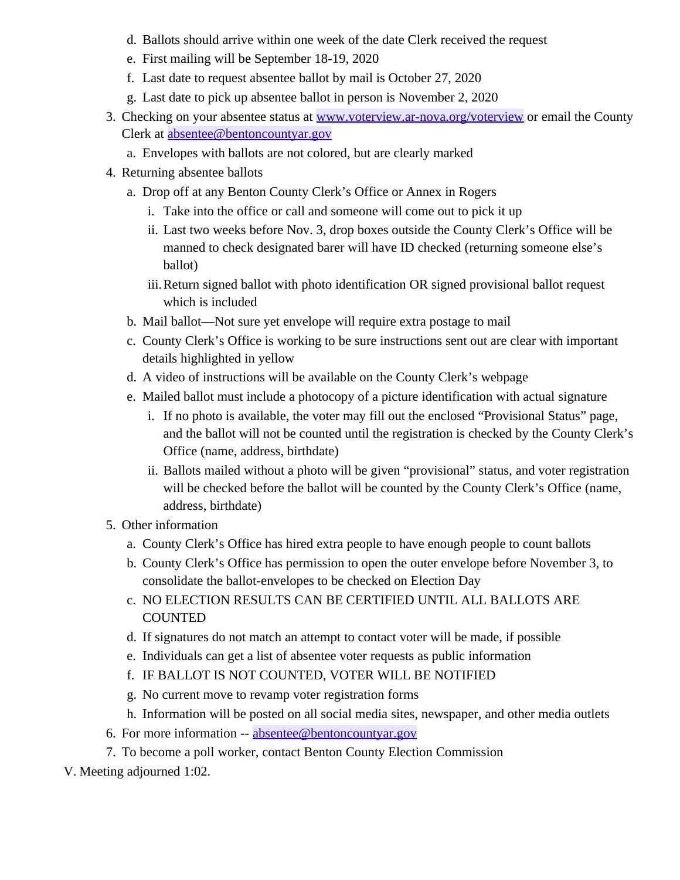- d. Ballots should arrive within one week of the date Clerk received the request
- e. First mailing will be September 18-19, 2020
- f. Last date to request absentee ballot by mail is October 27, 2020
- g. Last date to pick up absentee ballot in person is November 2, 2020
- 3. Checking on your absentee status at [www.voterview.ar-nova.org/voterview](https://www.voterview.ar-nova.org/voterview) or email the County Clerk at [absentee@bentoncountyar.gov](mailto:absentee@bentoncountyar.gov)
	- a. Envelopes with ballots are not colored, but are clearly marked
- 4. Returning absentee ballots
	- a. Drop off at any Benton County Clerk's Office or Annex in Rogers
		- i. Take into the office or call and someone will come out to pick it up
		- ii. Last two weeks before Nov. 3, drop boxes outside the County Clerk's Office will be manned to check designated barer will have ID checked (returning someone else's ballot)
		- iii.Return signed ballot with photo identification OR signed provisional ballot request which is included
	- b. Mail ballot—Not sure yet envelope will require extra postage to mail
	- c. County Clerk's Office is working to be sure instructions sent out are clear with important details highlighted in yellow
	- d. A video of instructions will be available on the County Clerk's webpage
	- e. Mailed ballot must include a photocopy of a picture identification with actual signature
		- i. If no photo is available, the voter may fill out the enclosed "Provisional Status" page, and the ballot will not be counted until the registration is checked by the County Clerk's Office (name, address, birthdate)
		- ii. Ballots mailed without a photo will be given "provisional" status, and voter registration will be checked before the ballot will be counted by the County Clerk's Office (name, address, birthdate)
- 5. Other information
	- a. County Clerk's Office has hired extra people to have enough people to count ballots
	- b. County Clerk's Office has permission to open the outer envelope before November 3, to consolidate the ballot-envelopes to be checked on Election Day
	- c. NO ELECTION RESULTS CAN BE CERTIFIED UNTIL ALL BALLOTS ARE COUNTED
	- d. If signatures do not match an attempt to contact voter will be made, if possible
	- e. Individuals can get a list of absentee voter requests as public information
	- f. IF BALLOT IS NOT COUNTED, VOTER WILL BE NOTIFIED
	- g. No current move to revamp voter registration forms
	- h. Information will be posted on all social media sites, newspaper, and other media outlets
- 6. For more information -- [absentee@bentoncountyar.gov](mailto:absentee@bentoncountyar.gov)
- 7. To become a poll worker, contact Benton County Election Commission

V. Meeting adjourned 1:02.